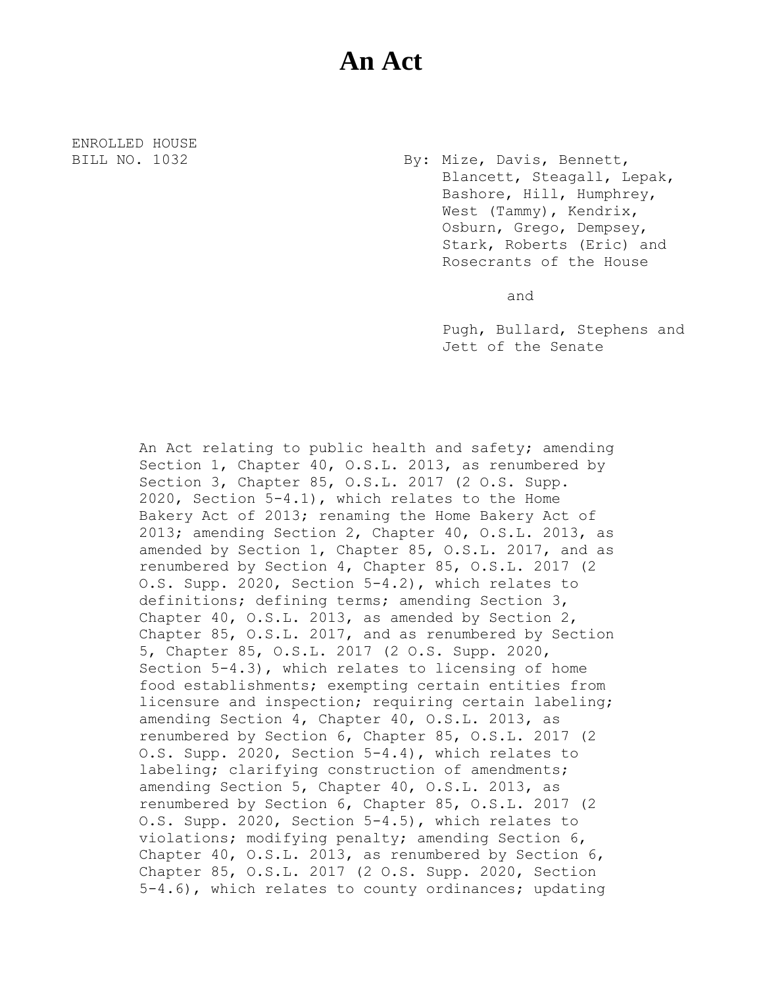## **An Act**

ENROLLED HOUSE

BILL NO. 1032 By: Mize, Davis, Bennett, Blancett, Steagall, Lepak, Bashore, Hill, Humphrey, West (Tammy), Kendrix, Osburn, Grego, Dempsey, Stark, Roberts (Eric) and Rosecrants of the House

and

Pugh, Bullard, Stephens and Jett of the Senate

An Act relating to public health and safety; amending Section 1, Chapter 40, O.S.L. 2013, as renumbered by Section 3, Chapter 85, O.S.L. 2017 (2 O.S. Supp. 2020, Section 5-4.1), which relates to the Home Bakery Act of 2013; renaming the Home Bakery Act of 2013; amending Section 2, Chapter 40, O.S.L. 2013, as amended by Section 1, Chapter 85, O.S.L. 2017, and as renumbered by Section 4, Chapter 85, O.S.L. 2017 (2 O.S. Supp. 2020, Section 5-4.2), which relates to definitions; defining terms; amending Section 3, Chapter 40, O.S.L. 2013, as amended by Section 2, Chapter 85, O.S.L. 2017, and as renumbered by Section 5, Chapter 85, O.S.L. 2017 (2 O.S. Supp. 2020, Section 5-4.3), which relates to licensing of home food establishments; exempting certain entities from licensure and inspection; requiring certain labeling; amending Section 4, Chapter 40, O.S.L. 2013, as renumbered by Section 6, Chapter 85, O.S.L. 2017 (2 O.S. Supp. 2020, Section 5-4.4), which relates to labeling; clarifying construction of amendments; amending Section 5, Chapter 40, O.S.L. 2013, as renumbered by Section 6, Chapter 85, O.S.L. 2017 (2 O.S. Supp. 2020, Section 5-4.5), which relates to violations; modifying penalty; amending Section 6, Chapter 40, O.S.L. 2013, as renumbered by Section 6, Chapter 85, O.S.L. 2017 (2 O.S. Supp. 2020, Section 5-4.6), which relates to county ordinances; updating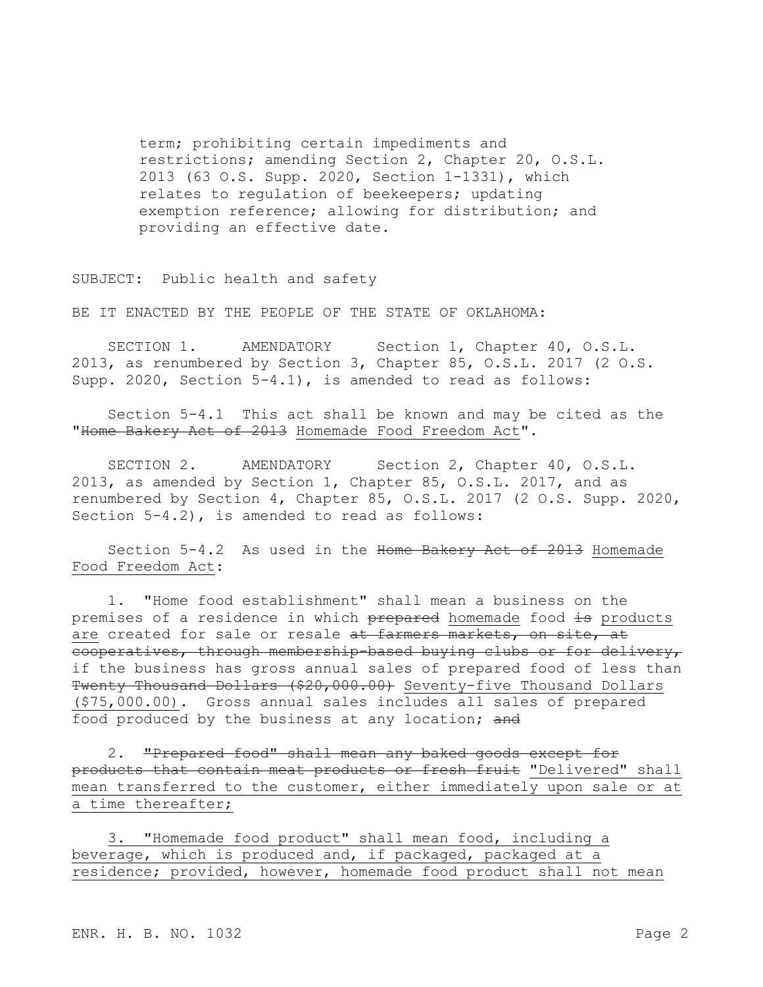term; prohibiting certain impediments and restrictions; amending Section 2, Chapter 20, O.S.L. 2013 (63 O.S. Supp. 2020, Section 1-1331), which relates to regulation of beekeepers; updating exemption reference; allowing for distribution; and providing an effective date.

SUBJECT: Public health and safety

BE IT ENACTED BY THE PEOPLE OF THE STATE OF OKLAHOMA:

SECTION 1. AMENDATORY Section 1, Chapter 40, O.S.L. 2013, as renumbered by Section 3, Chapter 85, O.S.L. 2017 (2 O.S. Supp. 2020, Section 5-4.1), is amended to read as follows:

Section 5-4.1 This act shall be known and may be cited as the "Home Bakery Act of 2013 Homemade Food Freedom Act".

SECTION 2. AMENDATORY Section 2, Chapter 40, O.S.L. 2013, as amended by Section 1, Chapter 85, O.S.L. 2017, and as renumbered by Section 4, Chapter 85, O.S.L. 2017 (2 O.S. Supp. 2020, Section 5-4.2), is amended to read as follows:

Section 5-4.2 As used in the Home Bakery Act of 2013 Homemade Food Freedom Act:

1. "Home food establishment" shall mean a business on the premises of a residence in which prepared homemade food is products are created for sale or resale at farmers markets, on site, at cooperatives, through membership-based buying clubs or for delivery, if the business has gross annual sales of prepared food of less than Twenty Thousand Dollars (\$20,000.00) Seventy-five Thousand Dollars (\$75,000.00). Gross annual sales includes all sales of prepared food produced by the business at any location; and

2. "Prepared food" shall mean any baked goods except for products that contain meat products or fresh fruit "Delivered" shall mean transferred to the customer, either immediately upon sale or at a time thereafter;

3. "Homemade food product" shall mean food, including a beverage, which is produced and, if packaged, packaged at a residence; provided, however, homemade food product shall not mean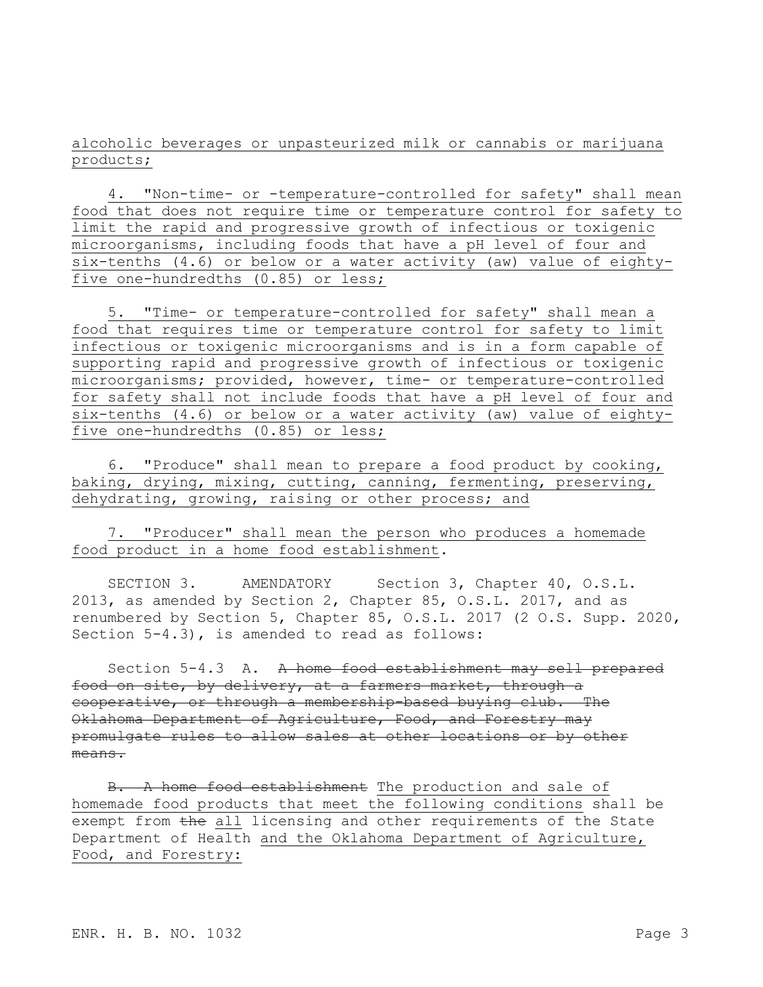alcoholic beverages or unpasteurized milk or cannabis or marijuana products;

4. "Non-time- or -temperature-controlled for safety" shall mean food that does not require time or temperature control for safety to limit the rapid and progressive growth of infectious or toxigenic microorganisms, including foods that have a pH level of four and six-tenths (4.6) or below or a water activity (aw) value of eightyfive one-hundredths (0.85) or less;

5. "Time- or temperature-controlled for safety" shall mean a food that requires time or temperature control for safety to limit infectious or toxigenic microorganisms and is in a form capable of supporting rapid and progressive growth of infectious or toxigenic microorganisms; provided, however, time- or temperature-controlled for safety shall not include foods that have a pH level of four and six-tenths (4.6) or below or a water activity (aw) value of eightyfive one-hundredths (0.85) or less;

6. "Produce" shall mean to prepare a food product by cooking, baking, drying, mixing, cutting, canning, fermenting, preserving, dehydrating, growing, raising or other process; and

7. "Producer" shall mean the person who produces a homemade food product in a home food establishment.

SECTION 3. AMENDATORY Section 3, Chapter 40, O.S.L. 2013, as amended by Section 2, Chapter 85, O.S.L. 2017, and as renumbered by Section 5, Chapter 85, O.S.L. 2017 (2 O.S. Supp. 2020, Section 5-4.3), is amended to read as follows:

Section 5-4.3 A. A home food establishment may sell prepared food on site, by delivery, at a farmers market, through a cooperative, or through a membership-based buying club. The Oklahoma Department of Agriculture, Food, and Forestry may promulgate rules to allow sales at other locations or by other means.

B. A home food establishment The production and sale of homemade food products that meet the following conditions shall be exempt from the all licensing and other requirements of the State Department of Health and the Oklahoma Department of Agriculture, Food, and Forestry: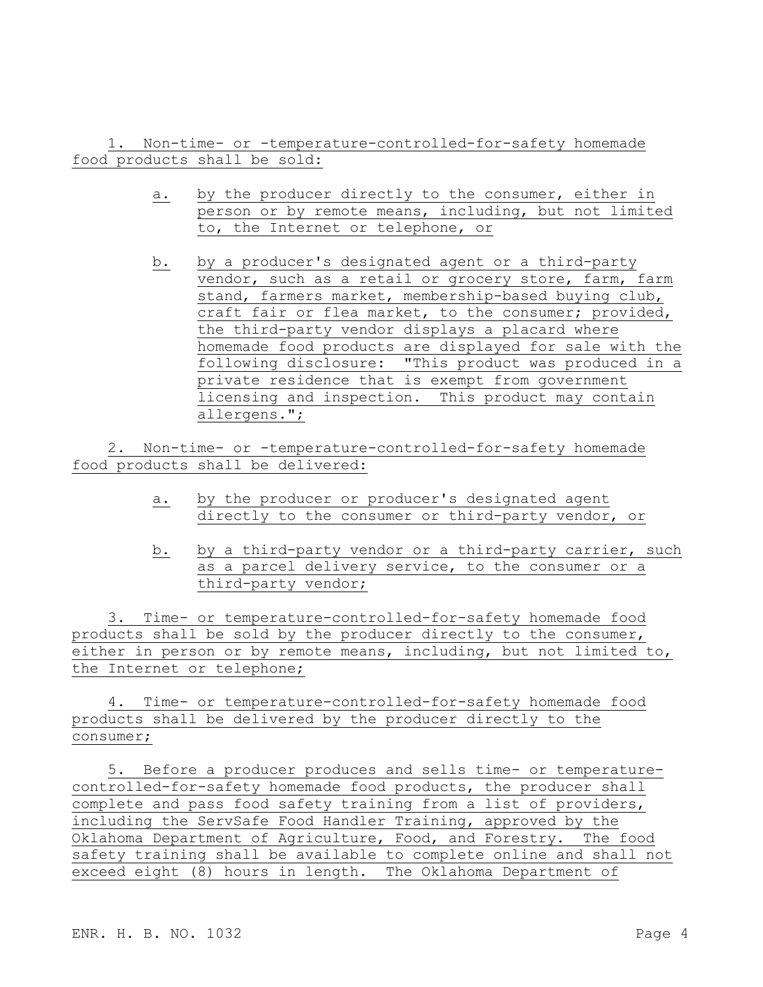1. Non-time- or -temperature-controlled-for-safety homemade food products shall be sold:

- a. by the producer directly to the consumer, either in person or by remote means, including, but not limited to, the Internet or telephone, or
- b. by a producer's designated agent or a third-party vendor, such as a retail or grocery store, farm, farm stand, farmers market, membership-based buying club, craft fair or flea market, to the consumer; provided, the third-party vendor displays a placard where homemade food products are displayed for sale with the following disclosure: "This product was produced in a private residence that is exempt from government licensing and inspection. This product may contain allergens.";

2. Non-time- or -temperature-controlled-for-safety homemade food products shall be delivered:

- a. by the producer or producer's designated agent directly to the consumer or third-party vendor, or
- b. by a third-party vendor or a third-party carrier, such as a parcel delivery service, to the consumer or a third-party vendor;

3. Time- or temperature-controlled-for-safety homemade food products shall be sold by the producer directly to the consumer, either in person or by remote means, including, but not limited to, the Internet or telephone;

4. Time- or temperature-controlled-for-safety homemade food products shall be delivered by the producer directly to the consumer;

5. Before a producer produces and sells time- or temperaturecontrolled-for-safety homemade food products, the producer shall complete and pass food safety training from a list of providers, including the ServSafe Food Handler Training, approved by the Oklahoma Department of Agriculture, Food, and Forestry. The food safety training shall be available to complete online and shall not exceed eight (8) hours in length. The Oklahoma Department of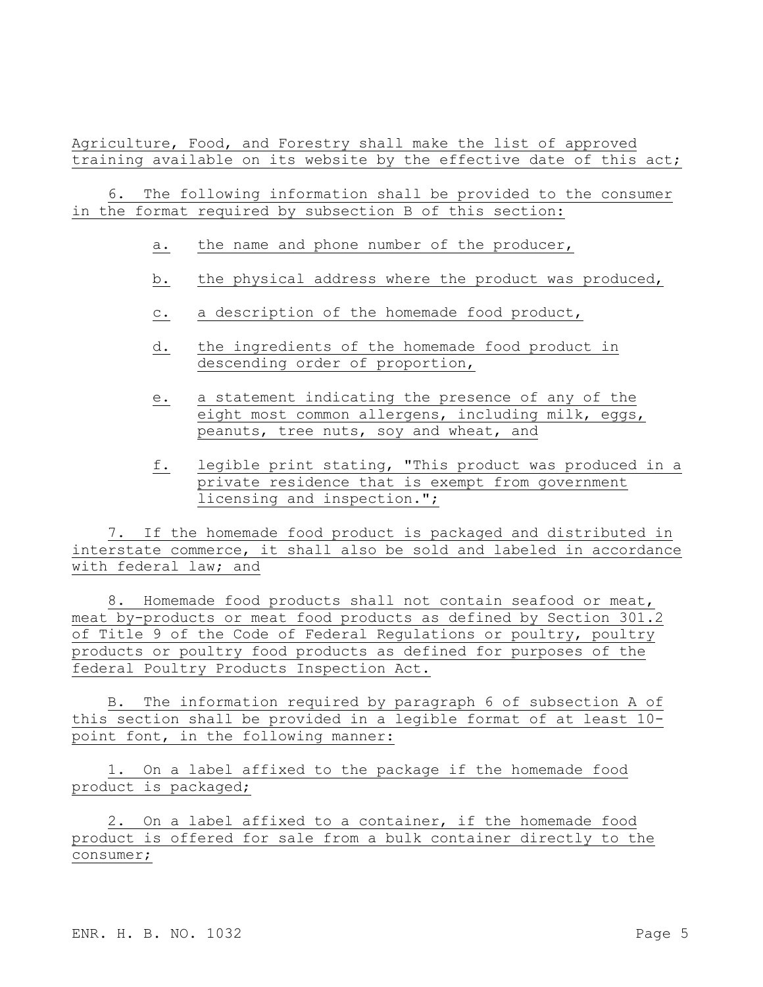Agriculture, Food, and Forestry shall make the list of approved training available on its website by the effective date of this act;

6. The following information shall be provided to the consumer in the format required by subsection B of this section:

- a. the name and phone number of the producer,
- b. the physical address where the product was produced,
- c. a description of the homemade food product,
- d. the ingredients of the homemade food product in descending order of proportion,
- e. a statement indicating the presence of any of the eight most common allergens, including milk, eggs, peanuts, tree nuts, soy and wheat, and
- f. legible print stating, "This product was produced in a private residence that is exempt from government licensing and inspection.";

7. If the homemade food product is packaged and distributed in interstate commerce, it shall also be sold and labeled in accordance with federal law; and

8. Homemade food products shall not contain seafood or meat, meat by-products or meat food products as defined by Section 301.2 of Title 9 of the Code of Federal Regulations or poultry, poultry products or poultry food products as defined for purposes of the federal Poultry Products Inspection Act.

B. The information required by paragraph 6 of subsection A of this section shall be provided in a legible format of at least 10 point font, in the following manner:

1. On a label affixed to the package if the homemade food product is packaged;

2. On a label affixed to a container, if the homemade food product is offered for sale from a bulk container directly to the consumer;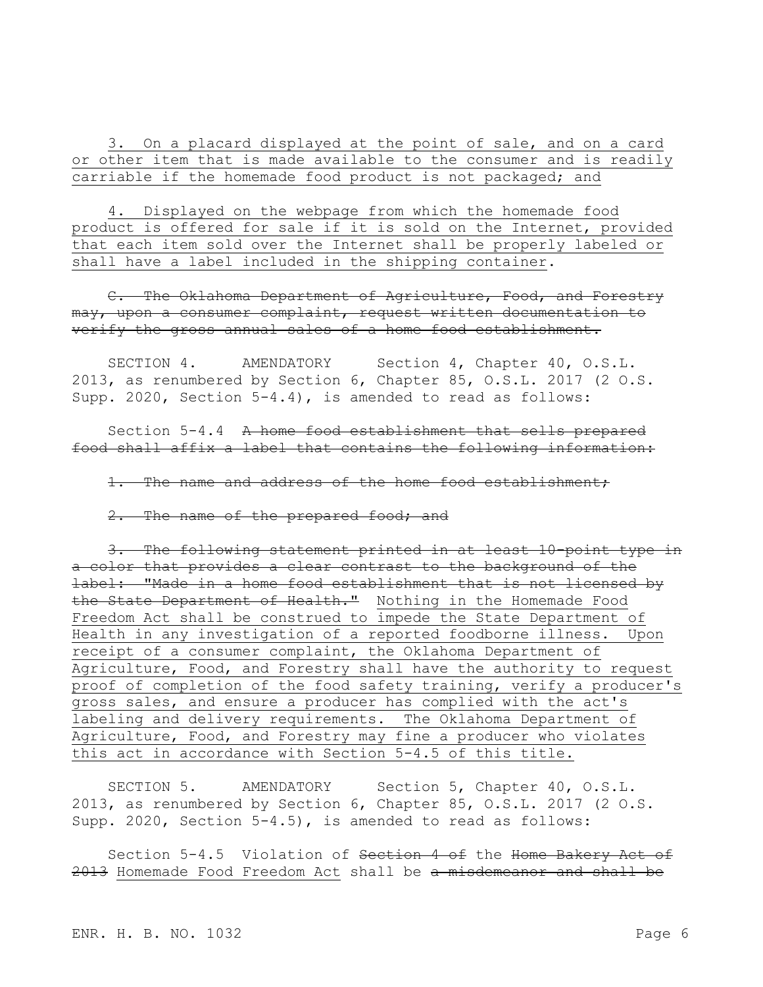3. On a placard displayed at the point of sale, and on a card or other item that is made available to the consumer and is readily carriable if the homemade food product is not packaged; and

4. Displayed on the webpage from which the homemade food product is offered for sale if it is sold on the Internet, provided that each item sold over the Internet shall be properly labeled or shall have a label included in the shipping container.

C. The Oklahoma Department of Agriculture, Food, and Forestry may, upon a consumer complaint, request written documentation to verify the gross annual sales of a home food establishment.

SECTION 4. AMENDATORY Section 4, Chapter 40, O.S.L. 2013, as renumbered by Section 6, Chapter 85, O.S.L. 2017 (2 O.S. Supp. 2020, Section 5-4.4), is amended to read as follows:

Section 5-4.4 A home food establishment that sells prepared food shall affix a label that contains the following information:

1. The name and address of the home food establishment;

2. The name of the prepared food; and

3. The following statement printed in at least 10-point type in a color that provides a clear contrast to the background of the label: "Made in a home food establishment that is not licensed by the State Department of Health." Nothing in the Homemade Food Freedom Act shall be construed to impede the State Department of Health in any investigation of a reported foodborne illness. Upon receipt of a consumer complaint, the Oklahoma Department of Agriculture, Food, and Forestry shall have the authority to request proof of completion of the food safety training, verify a producer's gross sales, and ensure a producer has complied with the act's labeling and delivery requirements. The Oklahoma Department of Agriculture, Food, and Forestry may fine a producer who violates this act in accordance with Section 5-4.5 of this title.

SECTION 5. AMENDATORY Section 5, Chapter 40, O.S.L. 2013, as renumbered by Section 6, Chapter 85, O.S.L. 2017 (2 O.S. Supp. 2020, Section 5-4.5), is amended to read as follows:

Section 5-4.5 Violation of Section 4 of the Home Bakery Act of 2013 Homemade Food Freedom Act shall be a misdemeanor and shall be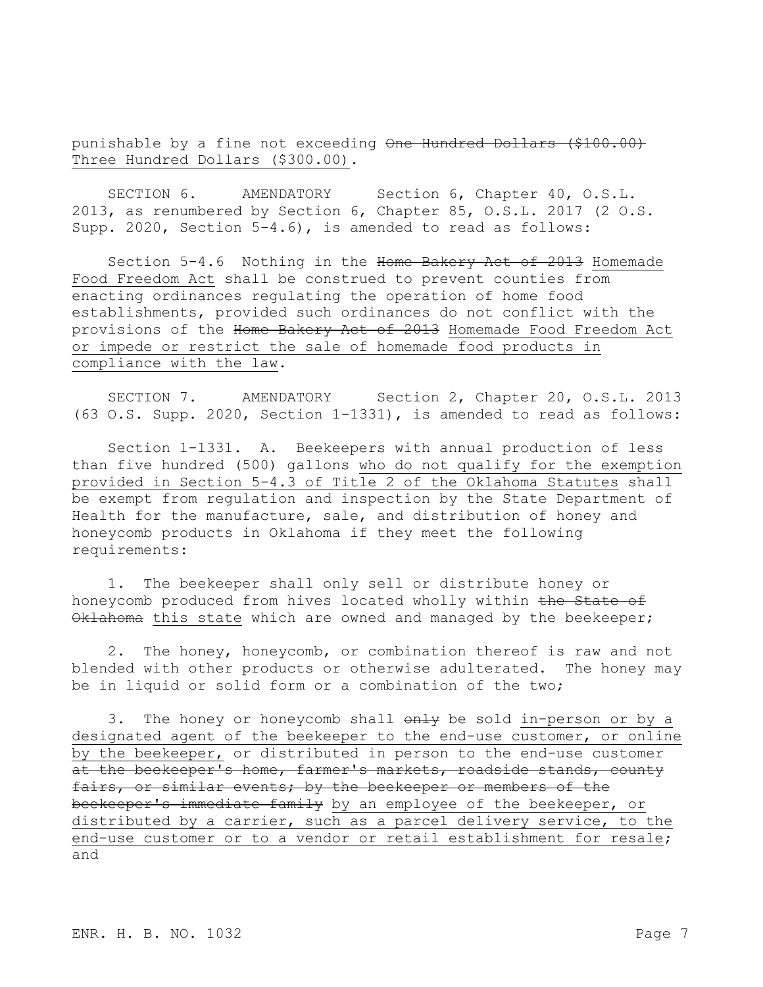punishable by a fine not exceeding One Hundred Dollars (\$100.00) Three Hundred Dollars (\$300.00).

SECTION 6. AMENDATORY Section 6, Chapter 40, O.S.L. 2013, as renumbered by Section 6, Chapter 85, O.S.L. 2017 (2 O.S. Supp. 2020, Section 5-4.6), is amended to read as follows:

Section 5-4.6 Nothing in the Home Bakery Act of 2013 Homemade Food Freedom Act shall be construed to prevent counties from enacting ordinances regulating the operation of home food establishments, provided such ordinances do not conflict with the provisions of the Home Bakery Act of 2013 Homemade Food Freedom Act or impede or restrict the sale of homemade food products in compliance with the law.

SECTION 7. AMENDATORY Section 2, Chapter 20, O.S.L. 2013 (63 O.S. Supp. 2020, Section 1-1331), is amended to read as follows:

Section 1-1331. A. Beekeepers with annual production of less than five hundred (500) gallons who do not qualify for the exemption provided in Section 5-4.3 of Title 2 of the Oklahoma Statutes shall be exempt from regulation and inspection by the State Department of Health for the manufacture, sale, and distribution of honey and honeycomb products in Oklahoma if they meet the following requirements:

1. The beekeeper shall only sell or distribute honey or honeycomb produced from hives located wholly within the State of Oklahoma this state which are owned and managed by the beekeeper;

2. The honey, honeycomb, or combination thereof is raw and not blended with other products or otherwise adulterated. The honey may be in liquid or solid form or a combination of the two;

3. The honey or honeycomb shall  $\theta$ nly be sold in-person or by a designated agent of the beekeeper to the end-use customer, or online by the beekeeper, or distributed in person to the end-use customer at the beekeeper's home, farmer's markets, roadside stands, county fairs, or similar events; by the beekeeper or members of the beekeeper's immediate family by an employee of the beekeeper, or distributed by a carrier, such as a parcel delivery service, to the end-use customer or to a vendor or retail establishment for resale; and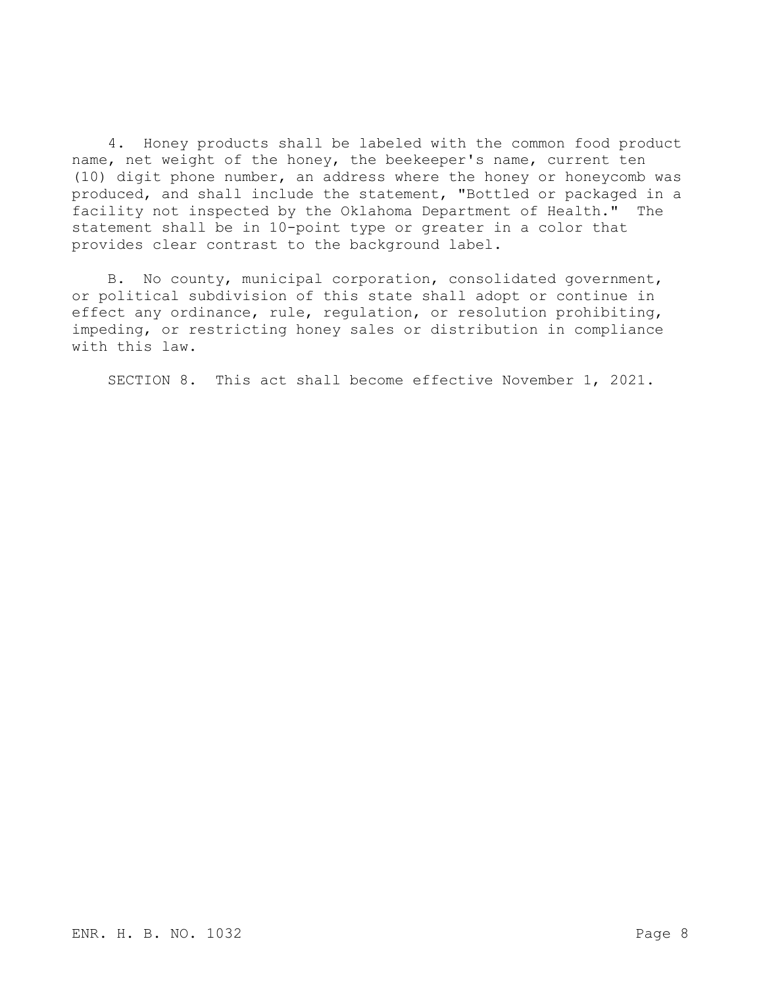4. Honey products shall be labeled with the common food product name, net weight of the honey, the beekeeper's name, current ten (10) digit phone number, an address where the honey or honeycomb was produced, and shall include the statement, "Bottled or packaged in a facility not inspected by the Oklahoma Department of Health." The statement shall be in 10-point type or greater in a color that provides clear contrast to the background label.

B. No county, municipal corporation, consolidated government, or political subdivision of this state shall adopt or continue in effect any ordinance, rule, regulation, or resolution prohibiting, impeding, or restricting honey sales or distribution in compliance with this law.

SECTION 8. This act shall become effective November 1, 2021.